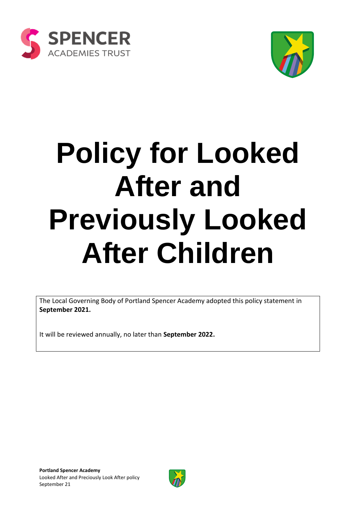



# **Policy for Looked After and Previously Looked After Children**

The Local Governing Body of Portland Spencer Academy adopted this policy statement in **September 2021.**

It will be reviewed annually, no later than **September 2022.**

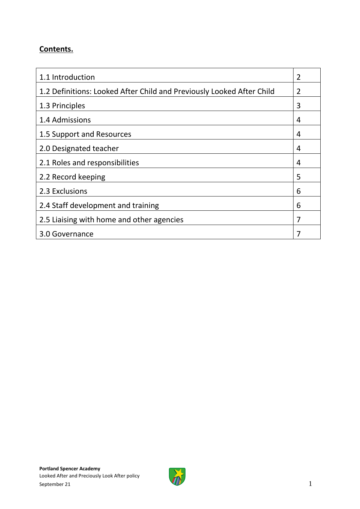#### **Contents.**

| 1.1 Introduction                                                      | $\overline{2}$ |
|-----------------------------------------------------------------------|----------------|
| 1.2 Definitions: Looked After Child and Previously Looked After Child | 2              |
| 1.3 Principles                                                        | 3              |
| 1.4 Admissions                                                        | 4              |
| 1.5 Support and Resources                                             | 4              |
| 2.0 Designated teacher                                                | 4              |
| 2.1 Roles and responsibilities                                        | 4              |
| 2.2 Record keeping                                                    | 5              |
| 2.3 Exclusions                                                        | 6              |
| 2.4 Staff development and training                                    | 6              |
| 2.5 Liaising with home and other agencies                             | 7              |
| 3.0 Governance                                                        |                |

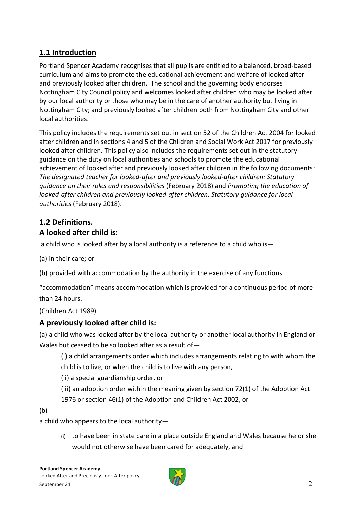### **1.1 Introduction**

Portland Spencer Academy recognises that all pupils are entitled to a balanced, broad-based curriculum and aims to promote the educational achievement and welfare of looked after and previously looked after children. The school and the governing body endorses Nottingham City Council policy and welcomes looked after children who may be looked after by our local authority or those who may be in the care of another authority but living in Nottingham City; and previously looked after children both from Nottingham City and other local authorities.

This policy includes the requirements set out in section 52 of the Children Act 2004 for looked after children and in sections 4 and 5 of the Children and Social Work Act 2017 for previously looked after children. This policy also includes the requirements set out in the statutory guidance on the duty on local authorities and schools to promote the educational achievement of looked after and previously looked after children in the following documents: *The designated teacher for looked-after and previously looked-after children: Statutory guidance on their roles and responsibilities* (February 2018) and *Promoting the education of looked-after children and previously looked-after children: Statutory guidance for local authorities* (February 2018).

# **1.2 Definitions.**

#### **A looked after child is:**

a child who is looked after by a local authority is a reference to a child who is—

(a) in their care; or

(b) provided with accommodation by the authority in the exercise of any functions

"accommodation" means accommodation which is provided for a continuous period of more than 24 hours.

(Children Act 1989)

#### **A previously looked after child is:**

(a) a child who was looked after by the local authority or another local authority in England or Wales but ceased to be so looked after as a result of—

(i) a child arrangements order which includes arrangements relating to with whom the child is to live, or when the child is to live with any person,

(ii) a special guardianship order, or

(iii) an adoption order within the meaning given by section 72(1) of the Adoption Act

1976 or section 46(1) of the Adoption and Children Act 2002, or

(b)

a child who appears to the local authority—

(i) to have been in state care in a place outside England and Wales because he or she would not otherwise have been cared for adequately, and

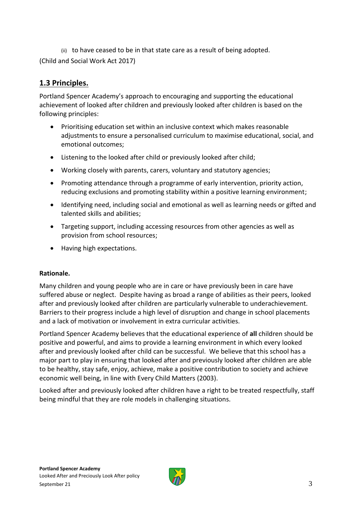(ii) to have ceased to be in that state care as a result of being adopted. (Child and Social Work Act 2017)

#### **1.3 Principles.**

Portland Spencer Academy's approach to encouraging and supporting the educational achievement of looked after children and previously looked after children is based on the following principles:

- Prioritising education set within an inclusive context which makes reasonable adjustments to ensure a personalised curriculum to maximise educational, social, and emotional outcomes;
- Listening to the looked after child or previously looked after child;
- Working closely with parents, carers, voluntary and statutory agencies;
- Promoting attendance through a programme of early intervention, priority action, reducing exclusions and promoting stability within a positive learning environment;
- Identifying need, including social and emotional as well as learning needs or gifted and talented skills and abilities;
- Targeting support, including accessing resources from other agencies as well as provision from school resources;
- Having high expectations.

#### **Rationale.**

Many children and young people who are in care or have previously been in care have suffered abuse or neglect. Despite having as broad a range of abilities as their peers, looked after and previously looked after children are particularly vulnerable to underachievement. Barriers to their progress include a high level of disruption and change in school placements and a lack of motivation or involvement in extra curricular activities.

Portland Spencer Academy believes that the educational experience of **all** children should be positive and powerful, and aims to provide a learning environment in which every looked after and previously looked after child can be successful. We believe that this school has a major part to play in ensuring that looked after and previously looked after children are able to be healthy, stay safe, enjoy, achieve, make a positive contribution to society and achieve economic well being, in line with Every Child Matters (2003).

Looked after and previously looked after children have a right to be treated respectfully, staff being mindful that they are role models in challenging situations.

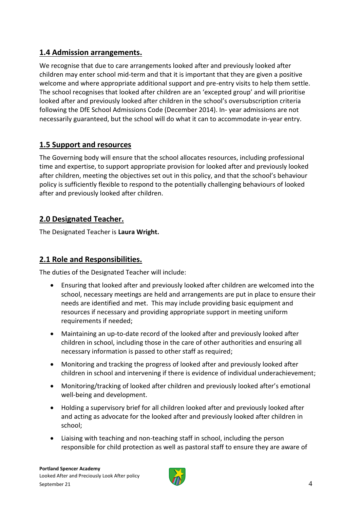#### **1.4 Admission arrangements.**

We recognise that due to care arrangements looked after and previously looked after children may enter school mid-term and that it is important that they are given a positive welcome and where appropriate additional support and pre-entry visits to help them settle. The school recognises that looked after children are an 'excepted group' and will prioritise looked after and previously looked after children in the school's oversubscription criteria following the DfE School Admissions Code (December 2014). In- year admissions are not necessarily guaranteed, but the school will do what it can to accommodate in-year entry.

## **1.5 Support and resources**

The Governing body will ensure that the school allocates resources, including professional time and expertise, to support appropriate provision for looked after and previously looked after children, meeting the objectives set out in this policy, and that the school's behaviour policy is sufficiently flexible to respond to the potentially challenging behaviours of looked after and previously looked after children.

#### **2.0 Designated Teacher.**

The Designated Teacher is **Laura Wright.**

### **2.1 Role and Responsibilities.**

The duties of the Designated Teacher will include:

- Ensuring that looked after and previously looked after children are welcomed into the school, necessary meetings are held and arrangements are put in place to ensure their needs are identified and met. This may include providing basic equipment and resources if necessary and providing appropriate support in meeting uniform requirements if needed;
- Maintaining an up-to-date record of the looked after and previously looked after children in school, including those in the care of other authorities and ensuring all necessary information is passed to other staff as required;
- Monitoring and tracking the progress of looked after and previously looked after children in school and intervening if there is evidence of individual underachievement;
- Monitoring/tracking of looked after children and previously looked after's emotional well-being and development.
- Holding a supervisory brief for all children looked after and previously looked after and acting as advocate for the looked after and previously looked after children in school;
- Liaising with teaching and non-teaching staff in school, including the person responsible for child protection as well as pastoral staff to ensure they are aware of

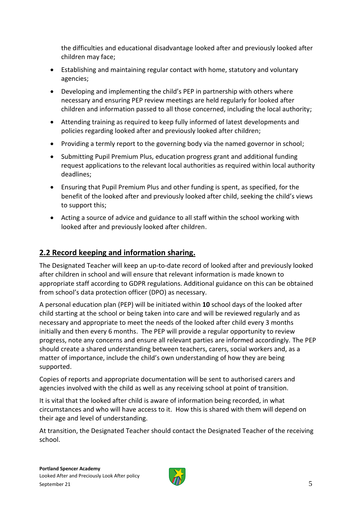the difficulties and educational disadvantage looked after and previously looked after children may face;

- Establishing and maintaining regular contact with home, statutory and voluntary agencies;
- Developing and implementing the child's PEP in partnership with others where necessary and ensuring PEP review meetings are held regularly for looked after children and information passed to all those concerned, including the local authority;
- Attending training as required to keep fully informed of latest developments and policies regarding looked after and previously looked after children;
- Providing a termly report to the governing body via the named governor in school;
- Submitting Pupil Premium Plus, education progress grant and additional funding request applications to the relevant local authorities as required within local authority deadlines;
- Ensuring that Pupil Premium Plus and other funding is spent, as specified, for the benefit of the looked after and previously looked after child, seeking the child's views to support this;
- Acting a source of advice and guidance to all staff within the school working with looked after and previously looked after children.

#### **2.2 Record keeping and information sharing.**

The Designated Teacher will keep an up-to-date record of looked after and previously looked after children in school and will ensure that relevant information is made known to appropriate staff according to GDPR regulations. Additional guidance on this can be obtained from school's data protection officer (DPO) as necessary.

A personal education plan (PEP) will be initiated within **10** school days of the looked after child starting at the school or being taken into care and will be reviewed regularly and as necessary and appropriate to meet the needs of the looked after child every 3 months initially and then every 6 months. The PEP will provide a regular opportunity to review progress, note any concerns and ensure all relevant parties are informed accordingly. The PEP should create a shared understanding between teachers, carers, social workers and, as a matter of importance, include the child's own understanding of how they are being supported.

Copies of reports and appropriate documentation will be sent to authorised carers and agencies involved with the child as well as any receiving school at point of transition.

It is vital that the looked after child is aware of information being recorded, in what circumstances and who will have access to it. How this is shared with them will depend on their age and level of understanding.

At transition, the Designated Teacher should contact the Designated Teacher of the receiving school.

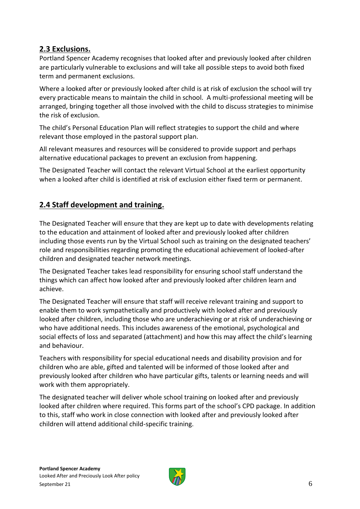#### **2.3 Exclusions.**

Portland Spencer Academy recognises that looked after and previously looked after children are particularly vulnerable to exclusions and will take all possible steps to avoid both fixed term and permanent exclusions.

Where a looked after or previously looked after child is at risk of exclusion the school will try every practicable means to maintain the child in school. A multi-professional meeting will be arranged, bringing together all those involved with the child to discuss strategies to minimise the risk of exclusion.

The child's Personal Education Plan will reflect strategies to support the child and where relevant those employed in the pastoral support plan.

All relevant measures and resources will be considered to provide support and perhaps alternative educational packages to prevent an exclusion from happening.

The Designated Teacher will contact the relevant Virtual School at the earliest opportunity when a looked after child is identified at risk of exclusion either fixed term or permanent.

#### **2.4 Staff development and training.**

The Designated Teacher will ensure that they are kept up to date with developments relating to the education and attainment of looked after and previously looked after children including those events run by the Virtual School such as training on the designated teachers' role and responsibilities regarding promoting the educational achievement of looked-after children and designated teacher network meetings.

The Designated Teacher takes lead responsibility for ensuring school staff understand the things which can affect how looked after and previously looked after children learn and achieve.

The Designated Teacher will ensure that staff will receive relevant training and support to enable them to work sympathetically and productively with looked after and previously looked after children, including those who are underachieving or at risk of underachieving or who have additional needs. This includes awareness of the emotional, psychological and social effects of loss and separated (attachment) and how this may affect the child's learning and behaviour.

Teachers with responsibility for special educational needs and disability provision and for children who are able, gifted and talented will be informed of those looked after and previously looked after children who have particular gifts, talents or learning needs and will work with them appropriately.

The designated teacher will deliver whole school training on looked after and previously looked after children where required. This forms part of the school's CPD package. In addition to this, staff who work in close connection with looked after and previously looked after children will attend additional child-specific training.